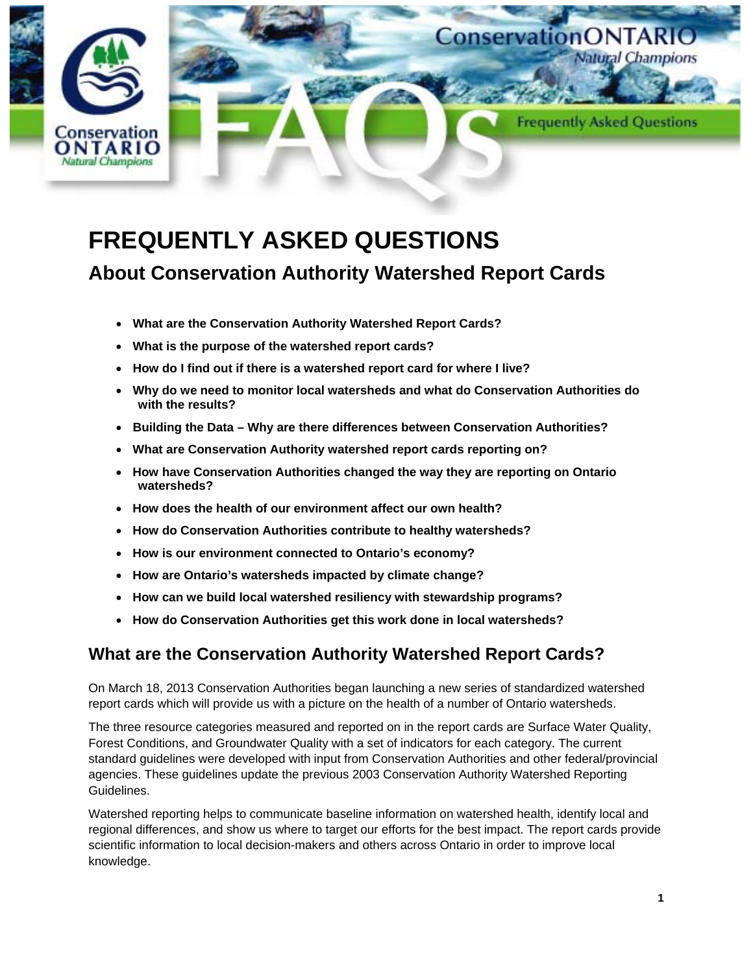

# **FREQUENTLY ASKED QUESTIONS**

## **About Conservation Authority Watershed Report Cards**

- **What are the Conservation Authority Watershed Report Cards?**
- **What is the purpose of the watershed report cards?**
- **How do I find out if there is a watershed report card for where I live?**
- **Why do we need to monitor local watersheds and what do Conservation Authorities do with the results?**
- **Building the Data – Why are there differences between Conservation Authorities?**
- **What are Conservation Authority watershed report cards reporting on?**
- **How have Conservation Authorities changed the way they are reporting on Ontario watersheds?**
- **How does the health of our environment affect our own health?**
- **How do Conservation Authorities contribute to healthy watersheds?**
- **How is our environment connected to Ontario's economy?**
- **How are Ontario's watersheds impacted by climate change?**
- **How can we build local watershed resiliency with stewardship programs?**
- **How do Conservation Authorities get this work done in local watersheds?**

## **What are the Conservation Authority Watershed Report Cards?**

On March 18, 2013 Conservation Authorities began launching a new series of standardized watershed report cards which will provide us with a picture on the health of a number of Ontario watersheds.

The three resource categories measured and reported on in the report cards are Surface Water Quality, Forest Conditions, and Groundwater Quality with a set of indicators for each category. The current standard guidelines were developed with input from Conservation Authorities and other federal/provincial agencies. These guidelines update the previous 2003 Conservation Authority Watershed Reporting Guidelines.

Watershed reporting helps to communicate baseline information on watershed health, identify local and regional differences, and show us where to target our efforts for the best impact. The report cards provide scientific information to local decision-makers and others across Ontario in order to improve local knowledge.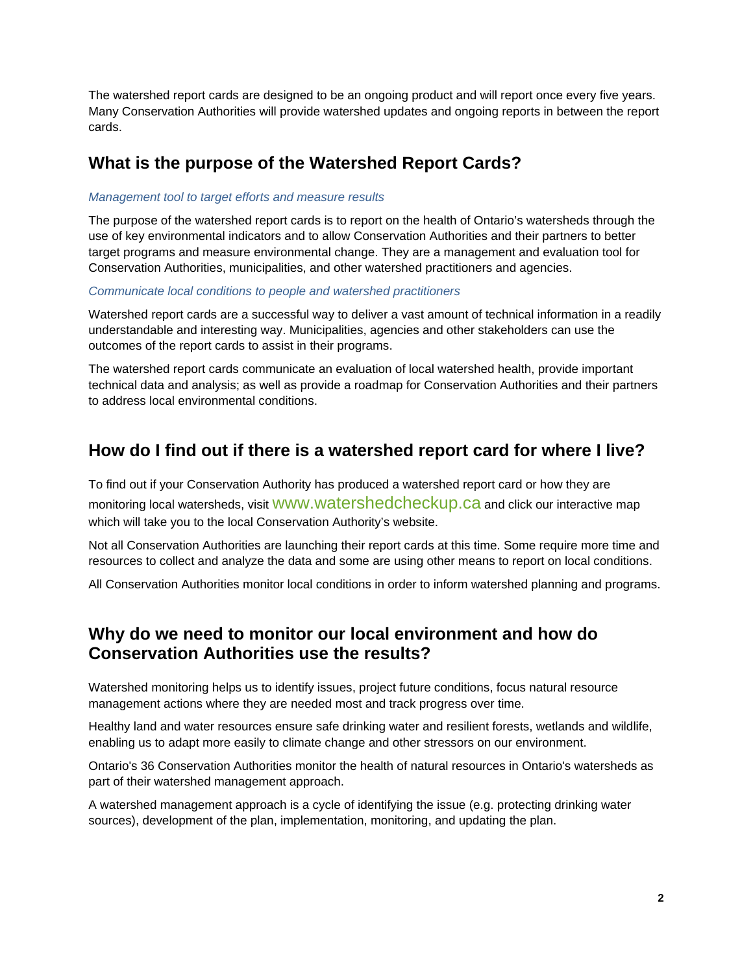The watershed report cards are designed to be an ongoing product and will report once every five years. Many Conservation Authorities will provide watershed updates and ongoing reports in between the report cards.

#### **What is the purpose of the Watershed Report Cards?**

#### *Management tool to target efforts and measure results*

The purpose of the watershed report cards is to report on the health of Ontario's watersheds through the use of key environmental indicators and to allow Conservation Authorities and their partners to better target programs and measure environmental change. They are a management and evaluation tool for Conservation Authorities, municipalities, and other watershed practitioners and agencies.

#### *Communicate local conditions to people and watershed practitioners*

Watershed report cards are a successful way to deliver a vast amount of technical information in a readily understandable and interesting way. Municipalities, agencies and other stakeholders can use the outcomes of the report cards to assist in their programs.

The watershed report cards communicate an evaluation of local watershed health, provide important technical data and analysis; as well as provide a roadmap for Conservation Authorities and their partners to address local environmental conditions.

#### **How do I find out if there is a watershed report card for where I live?**

To find out if your Conservation Authority has produced a watershed report card or how they are monitoring local watersheds, visit WWW.Watershedcheckup.ca and click our interactive map which will take you to the local Conservation Authority's website.

Not all Conservation Authorities are launching their report cards at this time. Some require more time and resources to collect and analyze the data and some are using other means to report on local conditions.

All Conservation Authorities monitor local conditions in order to inform watershed planning and programs.

#### **Why do we need to monitor our local environment and how do Conservation Authorities use the results?**

Watershed monitoring helps us to identify issues, project future conditions, focus natural resource management actions where they are needed most and track progress over time.

Healthy land and water resources ensure safe drinking water and resilient forests, wetlands and wildlife, enabling us to adapt more easily to climate change and other stressors on our environment.

Ontario's 36 Conservation Authorities monitor the health of natural resources in Ontario's watersheds as part of their watershed management approach.

A watershed management approach is a cycle of identifying the issue (e.g. protecting drinking water sources), development of the plan, implementation, monitoring, and updating the plan.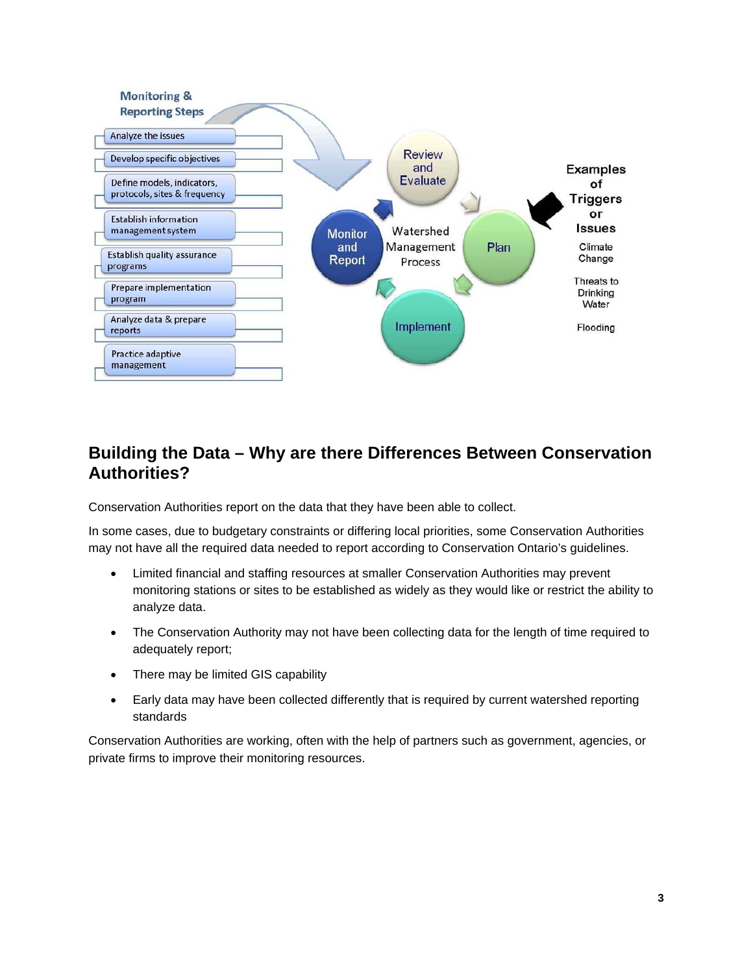

#### **Building the Data – Why are there Differences Between Conservation Authorities?**

Conservation Authorities report on the data that they have been able to collect.

In some cases, due to budgetary constraints or differing local priorities, some Conservation Authorities may not have all the required data needed to report according to Conservation Ontario's guidelines.

- Limited financial and staffing resources at smaller Conservation Authorities may prevent monitoring stations or sites to be established as widely as they would like or restrict the ability to analyze data.
- The Conservation Authority may not have been collecting data for the length of time required to adequately report;
- There may be limited GIS capability
- Early data may have been collected differently that is required by current watershed reporting standards

Conservation Authorities are working, often with the help of partners such as government, agencies, or private firms to improve their monitoring resources.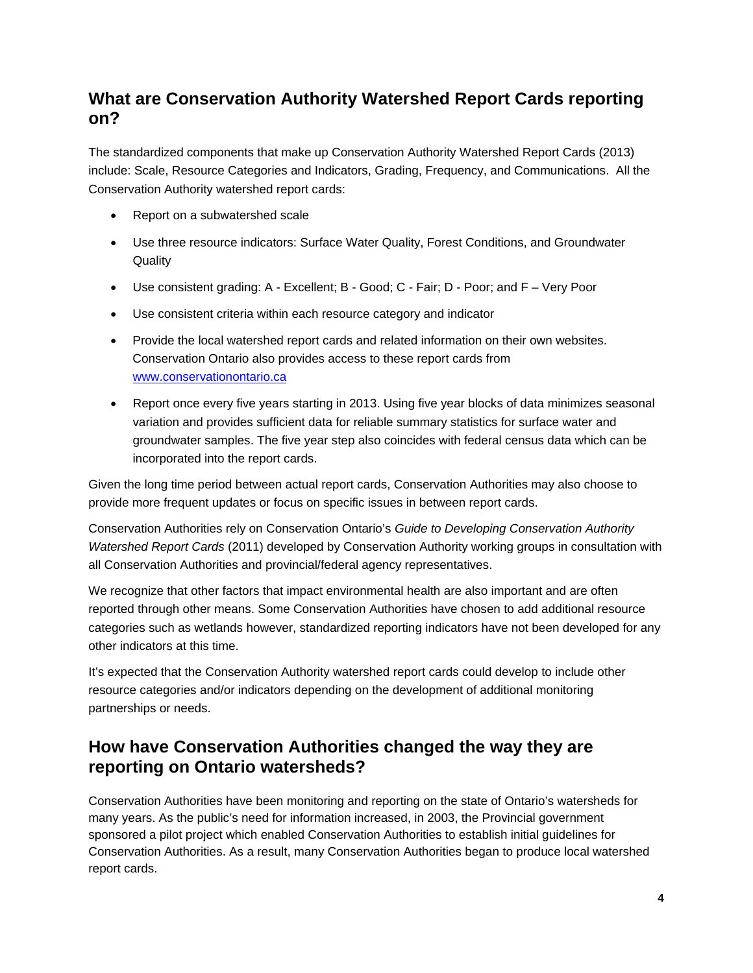#### **What are Conservation Authority Watershed Report Cards reporting on?**

The standardized components that make up Conservation Authority Watershed Report Cards (2013) include: Scale, Resource Categories and Indicators, Grading, Frequency, and Communications. All the Conservation Authority watershed report cards:

- Report on a subwatershed scale
- Use three resource indicators: Surface Water Quality, Forest Conditions, and Groundwater **Quality**
- Use consistent grading: A Excellent; B Good; C Fair; D Poor; and F Very Poor
- Use consistent criteria within each resource category and indicator
- Provide the local watershed report cards and related information on their own websites. Conservation Ontario also provides access to these report cards from [www.conservationontario.ca](http://www.conservationontario.ca/)
- Report once every five years starting in 2013. Using five year blocks of data minimizes seasonal variation and provides sufficient data for reliable summary statistics for surface water and groundwater samples. The five year step also coincides with federal census data which can be incorporated into the report cards.

Given the long time period between actual report cards, Conservation Authorities may also choose to provide more frequent updates or focus on specific issues in between report cards.

Conservation Authorities rely on Conservation Ontario's *Guide to Developing Conservation Authority Watershed Report Cards* (2011) developed by Conservation Authority working groups in consultation with all Conservation Authorities and provincial/federal agency representatives.

We recognize that other factors that impact environmental health are also important and are often reported through other means. Some Conservation Authorities have chosen to add additional resource categories such as wetlands however, standardized reporting indicators have not been developed for any other indicators at this time.

It's expected that the Conservation Authority watershed report cards could develop to include other resource categories and/or indicators depending on the development of additional monitoring partnerships or needs.

#### **How have Conservation Authorities changed the way they are reporting on Ontario watersheds?**

Conservation Authorities have been monitoring and reporting on the state of Ontario's watersheds for many years. As the public's need for information increased, in 2003, the Provincial government sponsored a pilot project which enabled Conservation Authorities to establish initial guidelines for Conservation Authorities. As a result, many Conservation Authorities began to produce local watershed report cards.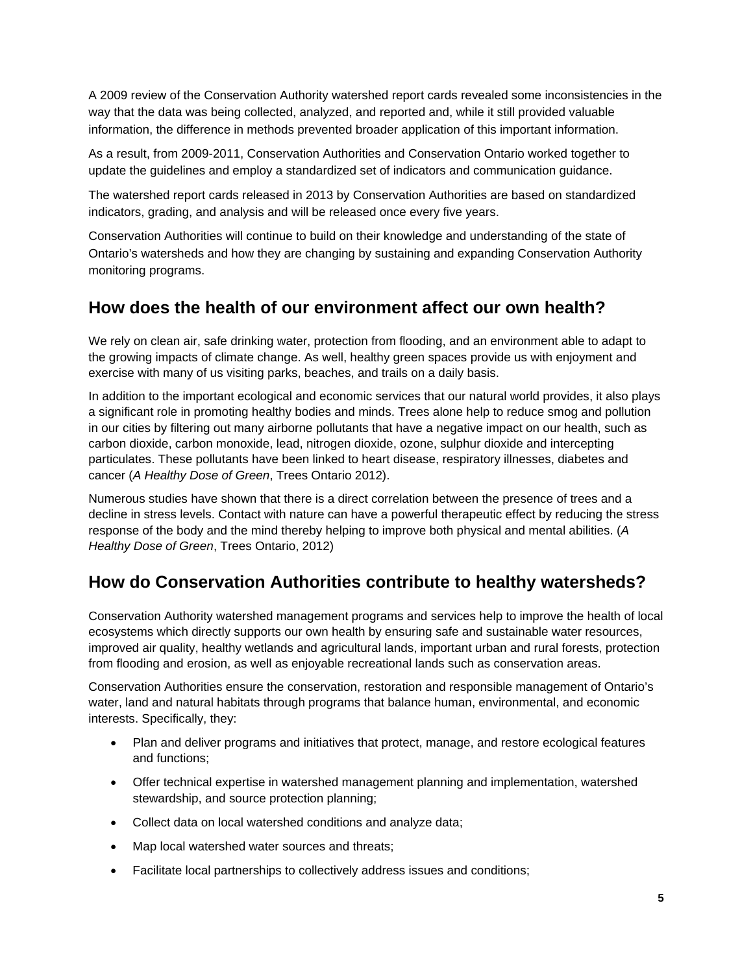A 2009 review of the Conservation Authority watershed report cards revealed some inconsistencies in the way that the data was being collected, analyzed, and reported and, while it still provided valuable information, the difference in methods prevented broader application of this important information.

As a result, from 2009-2011, Conservation Authorities and Conservation Ontario worked together to update the guidelines and employ a standardized set of indicators and communication guidance.

The watershed report cards released in 2013 by Conservation Authorities are based on standardized indicators, grading, and analysis and will be released once every five years.

Conservation Authorities will continue to build on their knowledge and understanding of the state of Ontario's watersheds and how they are changing by sustaining and expanding Conservation Authority monitoring programs.

#### **How does the health of our environment affect our own health?**

We rely on clean air, safe drinking water, protection from flooding, and an environment able to adapt to the growing impacts of climate change. As well, healthy green spaces provide us with enjoyment and exercise with many of us visiting parks, beaches, and trails on a daily basis.

In addition to the important ecological and economic services that our natural world provides, it also plays a significant role in promoting healthy bodies and minds. Trees alone help to reduce smog and pollution in our cities by filtering out many airborne pollutants that have a negative impact on our health, such as carbon dioxide, carbon monoxide, lead, nitrogen dioxide, ozone, sulphur dioxide and intercepting particulates. These pollutants have been linked to heart disease, respiratory illnesses, diabetes and cancer (*A Healthy Dose of Green*, Trees Ontario 2012).

Numerous studies have shown that there is a direct correlation between the presence of trees and a decline in stress levels. Contact with nature can have a powerful therapeutic effect by reducing the stress response of the body and the mind thereby helping to improve both physical and mental abilities. (*A Healthy Dose of Green*, Trees Ontario, 2012)

## **How do Conservation Authorities contribute to healthy watersheds?**

Conservation Authority watershed management programs and services help to improve the health of local ecosystems which directly supports our own health by ensuring safe and sustainable water resources, improved air quality, healthy wetlands and agricultural lands, important urban and rural forests, protection from flooding and erosion, as well as enjoyable recreational lands such as conservation areas.

Conservation Authorities ensure the conservation, restoration and responsible management of Ontario's water, land and natural habitats through programs that balance human, environmental, and economic interests. Specifically, they:

- Plan and deliver programs and initiatives that protect, manage, and restore ecological features and functions;
- Offer technical expertise in watershed management planning and implementation, watershed stewardship, and source protection planning;
- Collect data on local watershed conditions and analyze data;
- Map local watershed water sources and threats:
- Facilitate local partnerships to collectively address issues and conditions;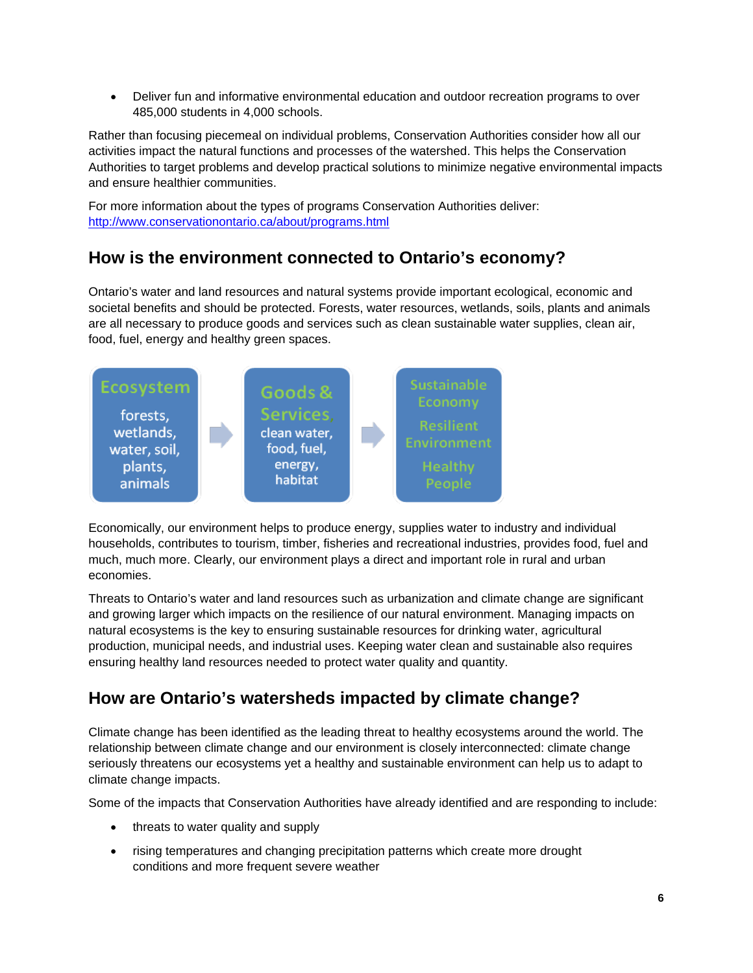• Deliver fun and informative environmental education and outdoor recreation programs to over 485,000 students in 4,000 schools.

Rather than focusing piecemeal on individual problems, Conservation Authorities consider how all our activities impact the natural functions and processes of the watershed. This helps the Conservation Authorities to target problems and develop practical solutions to minimize negative environmental impacts and ensure healthier communities.

For more information about the types of programs Conservation Authorities deliver: <http://www.conservationontario.ca/about/programs.html>

## **How is the environment connected to Ontario's economy?**

Ontario's water and land resources and natural systems provide important ecological, economic and societal benefits and should be protected. Forests, water resources, wetlands, soils, plants and animals are all necessary to produce goods and services such as clean sustainable water supplies, clean air, food, fuel, energy and healthy green spaces.



Economically, our environment helps to produce energy, supplies water to industry and individual households, contributes to tourism, timber, fisheries and recreational industries, provides food, fuel and much, much more. Clearly, our environment plays a direct and important role in rural and urban economies.

Threats to Ontario's water and land resources such as urbanization and climate change are significant and growing larger which impacts on the resilience of our natural environment. Managing impacts on natural ecosystems is the key to ensuring sustainable resources for drinking water, agricultural production, municipal needs, and industrial uses. Keeping water clean and sustainable also requires ensuring healthy land resources needed to protect water quality and quantity.

## **How are Ontario's watersheds impacted by climate change?**

Climate change has been identified as the leading threat to healthy ecosystems around the world. The relationship between climate change and our environment is closely interconnected: climate change seriously threatens our ecosystems yet a healthy and sustainable environment can help us to adapt to climate change impacts.

Some of the impacts that Conservation Authorities have already identified and are responding to include:

- threats to water quality and supply
- rising temperatures and changing precipitation patterns which create more drought conditions and more frequent severe weather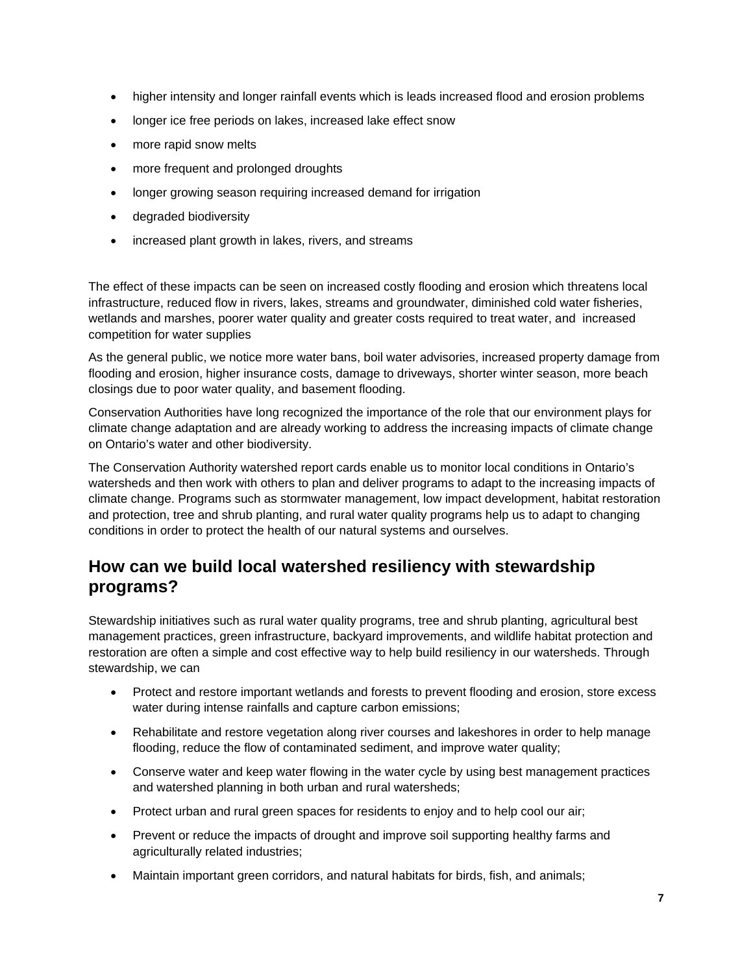- higher intensity and longer rainfall events which is leads increased flood and erosion problems
- longer ice free periods on lakes, increased lake effect snow
- more rapid snow melts
- more frequent and prolonged droughts
- longer growing season requiring increased demand for irrigation
- degraded biodiversity
- increased plant growth in lakes, rivers, and streams

The effect of these impacts can be seen on increased costly flooding and erosion which threatens local infrastructure, reduced flow in rivers, lakes, streams and groundwater, diminished cold water fisheries, wetlands and marshes, poorer water quality and greater costs required to treat water, and increased competition for water supplies

As the general public, we notice more water bans, boil water advisories, increased property damage from flooding and erosion, higher insurance costs, damage to driveways, shorter winter season, more beach closings due to poor water quality, and basement flooding.

Conservation Authorities have long recognized the importance of the role that our environment plays for climate change adaptation and are already working to address the increasing impacts of climate change on Ontario's water and other biodiversity.

The Conservation Authority watershed report cards enable us to monitor local conditions in Ontario's watersheds and then work with others to plan and deliver programs to adapt to the increasing impacts of climate change. Programs such as stormwater management, low impact development, habitat restoration and protection, tree and shrub planting, and rural water quality programs help us to adapt to changing conditions in order to protect the health of our natural systems and ourselves.

#### **How can we build local watershed resiliency with stewardship programs?**

Stewardship initiatives such as rural water quality programs, tree and shrub planting, agricultural best management practices, green infrastructure, backyard improvements, and wildlife habitat protection and restoration are often a simple and cost effective way to help build resiliency in our watersheds. Through stewardship, we can

- Protect and restore important wetlands and forests to prevent flooding and erosion, store excess water during intense rainfalls and capture carbon emissions;
- Rehabilitate and restore vegetation along river courses and lakeshores in order to help manage flooding, reduce the flow of contaminated sediment, and improve water quality;
- Conserve water and keep water flowing in the water cycle by using best management practices and watershed planning in both urban and rural watersheds;
- Protect urban and rural green spaces for residents to enjoy and to help cool our air;
- Prevent or reduce the impacts of drought and improve soil supporting healthy farms and agriculturally related industries;
- Maintain important green corridors, and natural habitats for birds, fish, and animals;